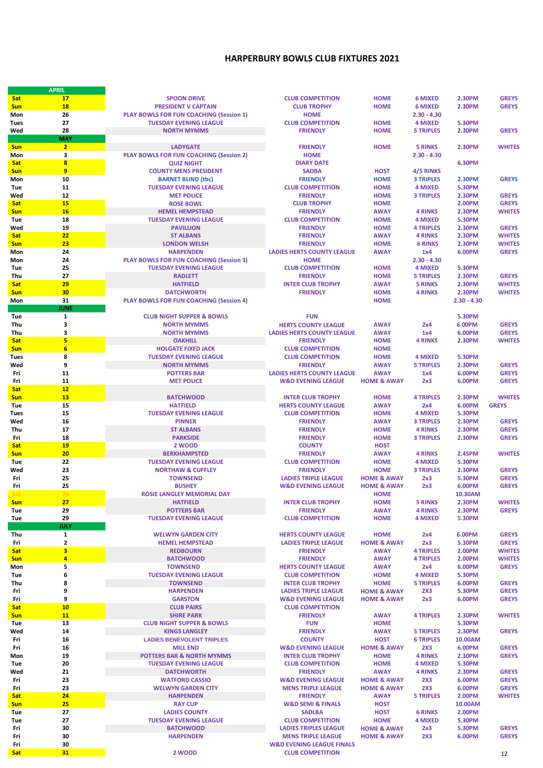## **HARPERBURY BOWLS CLUB FIXTURES 2021**

|             | <b>APRIL</b>            |                                                |                                      |                        |                  |                |               |
|-------------|-------------------------|------------------------------------------------|--------------------------------------|------------------------|------------------|----------------|---------------|
| <b>Sat</b>  | 17                      | <b>SPOON DRIVE</b>                             | <b>CLUB COMPETITION</b>              | <b>HOME</b>            | <b>6 MIXED</b>   | <b>2.30PM</b>  | <b>GREYS</b>  |
| <b>Sun</b>  | <b>18</b>               | <b>PRESIDENT V CAPTAIN</b>                     | <b>CLUB TROPHY</b>                   | <b>HOME</b>            | <b>6 MIXED</b>   | <b>2.30PM</b>  | <b>GREYS</b>  |
|             |                         |                                                |                                      |                        |                  |                |               |
| Mon         | 26                      | <b>PLAY BOWLS FOR FUN COACHING (Session 1)</b> | <b>HOME</b>                          |                        | $2.30 - 4.30$    |                |               |
| <b>Tues</b> | 27                      | <b>TUESDAY EVENING LEAGUE</b>                  | <b>CLUB COMPETITION</b>              | <b>HOME</b>            | <b>4 MIXED</b>   | <b>5.30PM</b>  |               |
| Wed         | 28                      | <b>NORTH MYMMS</b>                             | <b>FRIENDLY</b>                      | <b>HOME</b>            | <b>5 TRIPLES</b> | <b>2.30PM</b>  | <b>GREYS</b>  |
|             | <b>MAY</b>              |                                                |                                      |                        |                  |                |               |
|             |                         |                                                |                                      |                        |                  |                |               |
| <b>Sun</b>  | $\overline{2}$          | <b>LADYGATE</b>                                | <b>FRIENDLY</b>                      | <b>HOME</b>            | <b>5 RINKS</b>   | <b>2.30PM</b>  | <b>WHITES</b> |
| Mon         | 3                       | <b>PLAY BOWLS FOR FUN COACHING (Session 2)</b> | <b>HOME</b>                          |                        | $2.30 - 4.30$    |                |               |
| Sat         | 8                       | <b>QUIZ NIGHT</b>                              | <b>DIARY DATE</b>                    |                        |                  | <b>6.30PM</b>  |               |
| <b>Sun</b>  | 9                       | <b>COUNTY MENS PRESIDENT</b>                   | <b>SADBA</b>                         | <b>HOST</b>            | 4/5 RINKS        |                |               |
|             |                         |                                                |                                      |                        |                  |                |               |
| Mon         | 10                      | <b>BARNET BLIND (tbc)</b>                      | <b>FRIENDLY</b>                      | <b>HOME</b>            | <b>3 TRIPLES</b> | <b>2.30PM</b>  | <b>GREYS</b>  |
| <b>Tue</b>  | 11                      | <b>TUESDAY EVENING LEAGUE</b>                  | <b>CLUB COMPETITION</b>              | <b>HOME</b>            | <b>4 MIXED</b>   | <b>5.30PM</b>  |               |
| Wed         | 12                      | <b>MET POLICE</b>                              | <b>FRIENDLY</b>                      | <b>HOME</b>            | <b>3 TRIPLES</b> | <b>2.30PM</b>  | <b>GREYS</b>  |
| Sat         | <b>15</b>               | <b>ROSE BOWL</b>                               | <b>CLUB TROPHY</b>                   | <b>HOME</b>            |                  | <b>2.00PM</b>  | <b>GREYS</b>  |
|             |                         |                                                |                                      |                        |                  |                |               |
| <b>Sun</b>  | <b>16</b>               | <b>HEMEL HEMPSTEAD</b>                         | <b>FRIENDLY</b>                      | <b>AWAY</b>            | <b>4 RINKS</b>   | 2.30PM         | <b>WHITES</b> |
| <b>Tue</b>  | 18                      | <b>TUESDAY EVENING LEAGUE</b>                  | <b>CLUB COMPETITION</b>              | <b>HOME</b>            | <b>4 MIXED</b>   | <b>5.30PM</b>  |               |
| Wed         | 19                      | <b>PAVILLION</b>                               | <b>FRIENDLY</b>                      | <b>HOME</b>            | <b>4 TRIPLES</b> | <b>2.30PM</b>  | <b>GREYS</b>  |
|             |                         |                                                |                                      |                        |                  |                |               |
| Sat         | 22                      | <b>ST ALBANS</b>                               | <b>FRIENDLY</b>                      | <b>AWAY</b>            | <b>4 RINKS</b>   | <b>2.30PM</b>  | <b>WHITES</b> |
| <b>Sun</b>  | 23                      | <b>LONDON WELSH</b>                            | <b>FRIENDLY</b>                      | <b>HOME</b>            | <b>6 RINKS</b>   | <b>2.30PM</b>  | <b>WHITES</b> |
| Mon         | 24                      | <b>HARPENDEN</b>                               | <b>LADIES HERTS COUNTY LEAGUE</b>    | <b>AWAY</b>            | 1x4              | 6.00PM         | <b>GREYS</b>  |
| Mon         | 24                      | <b>PLAY BOWLS FOR FUN COACHING (Session 3)</b> | <b>HOME</b>                          |                        | $2.30 - 4.30$    |                |               |
|             |                         |                                                |                                      |                        |                  |                |               |
| Tue         | 25                      | <b>TUESDAY EVENING LEAGUE</b>                  | <b>CLUB COMPETITION</b>              | <b>HOME</b>            | <b>4 MIXED</b>   | <b>5.30PM</b>  |               |
| Thu         | 27                      | <b>RADLETT</b>                                 | <b>FRIENDLY</b>                      | <b>HOME</b>            | <b>5 TRIPLES</b> | <b>2.30PM</b>  | <b>GREYS</b>  |
| <b>Sat</b>  | 29                      | <b>HATFIELD</b>                                | <b>INTER CLUB TROPHY</b>             | <b>AWAY</b>            | <b>5 RINKS</b>   | <b>2.30PM</b>  | <b>WHITES</b> |
| <b>Sun</b>  | 30                      | <b>DATCHWORTH</b>                              | <b>FRIENDLY</b>                      | <b>HOME</b>            | <b>4 RINKS</b>   | <b>2.30PM</b>  | <b>WHITES</b> |
|             |                         |                                                |                                      |                        |                  |                |               |
| Mon         | 31                      | <b>PLAY BOWLS FOR FUN COACHING (Session 4)</b> |                                      | <b>HOME</b>            |                  | $2.30 - 4.30$  |               |
|             | <b>JUNE</b>             |                                                |                                      |                        |                  |                |               |
| <b>Tue</b>  | 1                       | <b>CLUB NIGHT SUPPER &amp; BOWLS</b>           | <b>FUN</b>                           |                        |                  | <b>5.30PM</b>  |               |
|             |                         |                                                |                                      |                        |                  |                |               |
| Thu         | 3                       | <b>NORTH MYMMS</b>                             | <b>HERTS COUNTY LEAGUE</b>           | <b>AWAY</b>            | 2x4              | 6.00PM         | <b>GREYS</b>  |
| Thu         | з                       | <b>NORTH MYMMS</b>                             | <b>LADIES HERTS COUNTY LEAGUE</b>    | <b>AWAY</b>            | 1x4              | 6.00PM         | <b>GREYS</b>  |
| Sat         | 5                       | <b>OAKHILL</b>                                 | <b>FRIENDLY</b>                      | <b>HOME</b>            | <b>4 RINKS</b>   | <b>2.30PM</b>  | <b>WHITES</b> |
| <b>Sun</b>  | $6\phantom{1}6$         | <b>HOLGATE FIXED JACK</b>                      | <b>CLUB COMPETITION</b>              | <b>HOME</b>            |                  |                |               |
|             |                         |                                                |                                      |                        |                  |                |               |
| <b>Tues</b> | 8                       | <b>TUESDAY EVENING LEAGUE</b>                  | <b>CLUB COMPETITION</b>              | <b>HOME</b>            | <b>4 MIXED</b>   | 5.30PM         |               |
| Wed         | 9                       | <b>NORTH MYMMS</b>                             | <b>FRIENDLY</b>                      | <b>AWAY</b>            | <b>5 TRIPLES</b> | <b>2.30PM</b>  | <b>GREYS</b>  |
| Fri         | 11                      | <b>POTTERS BAR</b>                             | <b>LADIES HERTS COUNTY LEAGUE</b>    | <b>AWAY</b>            | 1x4              | 6.00PM         | <b>GREYS</b>  |
|             |                         |                                                |                                      |                        |                  |                |               |
| Fri         | 11                      | <b>MET POLICE</b>                              | <b>W&amp;D EVENING LEAGUE</b>        | <b>HOME &amp; AWAY</b> | 2x3              | 6.00PM         | <b>GREYS</b>  |
| <b>Sat</b>  | 12                      |                                                |                                      |                        |                  |                |               |
| <b>Sun</b>  | <b>13</b>               | <b>BATCHWOOD</b>                               | <b>INTER CLUB TROPHY</b>             | <b>HOME</b>            | <b>4 TRIPLES</b> | <b>2.30PM</b>  | <b>WHITES</b> |
| Tue         | 15                      | <b>HATFIELD</b>                                | <b>HERTS COUNTY LEAGUE</b>           | <b>AWAY</b>            | 2x4              | 6.00PM         | <b>GREYS</b>  |
|             |                         |                                                |                                      |                        |                  |                |               |
| <b>Tues</b> | 15                      | <b>TUESDAY EVENING LEAGUE</b>                  | <b>CLUB COMPETITION</b>              | <b>HOME</b>            | <b>4 MIXED</b>   | <b>5.30PM</b>  |               |
| Wed         | 16                      | <b>PINNER</b>                                  | <b>FRIENDLY</b>                      | <b>AWAY</b>            | <b>3 TRIPLES</b> | <b>2.30PM</b>  | <b>GREYS</b>  |
| Thu         | 17                      | <b>ST ALBANS</b>                               | <b>FRIENDLY</b>                      | <b>HOME</b>            | <b>4 RINKS</b>   | <b>2.30PM</b>  | <b>GREYS</b>  |
| Fri         | 18                      | <b>PARKSIDE</b>                                | <b>FRIENDLY</b>                      | <b>HOME</b>            | <b>3 TRIPLES</b> | <b>2.30PM</b>  | <b>GREYS</b>  |
|             |                         |                                                |                                      |                        |                  |                |               |
| Sat         | <b>19</b>               | 2 WOOD                                         | <b>COUNTY</b>                        | <b>HOST</b>            |                  |                |               |
| <b>Sun</b>  | 20                      | <b>BERKHAMPSTED</b>                            | <b>FRIENDLY</b>                      | <b>AWAY</b>            | <b>4 RINKS</b>   | 2.45PM         | <b>WHITES</b> |
| Tue         | 22                      | <b>TUESDAY EVENING LEAGUE</b>                  | <b>CLUB COMPETITION</b>              | <b>HOME</b>            | <b>4 MIXED</b>   | <b>5.30PM</b>  |               |
|             |                         |                                                |                                      |                        |                  |                |               |
| Wed         | 23                      | <b>NORTHAW &amp; CUFFLEY</b>                   | <b>FRIENDLY</b>                      | <b>HOME</b>            | <b>3 TRIPLES</b> | <b>2.30PM</b>  | <b>GREYS</b>  |
| Fri         | 25                      | <b>TOWNSEND</b>                                | <b>LADIES TRIPLE LEAGUE</b>          | <b>HOME &amp; AWAY</b> | 2x3              | 5.30PM         | <b>GREYS</b>  |
| Fri         | 25                      | <b>BUSHEY</b>                                  | <b>W&amp;D EVENING LEAGUE</b>        | <b>HOME &amp; AWAY</b> | 2x3              | 6.00PM         | <b>GREYS</b>  |
| Sat         | 26                      | <b>ROSIE LANGLEY MEMORIAL DAY</b>              |                                      | <b>HOME</b>            |                  | 10.30AM        |               |
|             |                         |                                                |                                      |                        |                  |                |               |
| <b>Sun</b>  | 27                      | <b>HATFIELD</b>                                | <b>INTER CLUB TROPHY</b>             | <b>HOME</b>            | <b>5 RINKS</b>   | <b>2.30PM</b>  | <b>WHITES</b> |
| Tue         | 29                      | <b>POTTERS BAR</b>                             | <b>FRIENDLY</b>                      | <b>AWAY</b>            | <b>4 RINKS</b>   | <b>2.30PM</b>  | <b>GREYS</b>  |
| Tue         | 29                      | <b>TUESDAY EVENING LEAGUE</b>                  | <b>CLUB COMPETITION</b>              | <b>HOME</b>            | <b>4 MIXED</b>   | 5.30PM         |               |
|             | <b>JULY</b>             |                                                |                                      |                        |                  |                |               |
|             |                         | <b>WELWYN GARDEN CITY</b>                      | <b>HERTS COUNTY LEAGUE</b>           | <b>HOME</b>            |                  | 6.00PM         | <b>GREYS</b>  |
| Thu         | $\mathbf{1}$            |                                                |                                      |                        | 2x4              |                |               |
| Fri         | $\mathbf{2}$            | <b>HEMEL HEMPSTEAD</b>                         | <b>LADIES TRIPLE LEAGUE</b>          | <b>HOME &amp; AWAY</b> | 2x3              | 5.30PM         | <b>GREYS</b>  |
| <b>Sat</b>  | $\overline{\mathbf{3}}$ | <b>REDBOURN</b>                                | <b>FRIENDLY</b>                      | <b>AWAY</b>            | <b>4 TRIPLES</b> | <b>2.00PM</b>  | <b>WHITES</b> |
| <b>Sun</b>  | 4                       | <b>BATCHWOOD</b>                               | <b>FRIENDLY</b>                      | <b>AWAY</b>            | <b>4 TRIPLES</b> | 2.00PM         | <b>WHITES</b> |
| Mon         | 5                       | <b>TOWNSEND</b>                                | <b>HERTS COUNTY LEAGUE</b>           | <b>AWAY</b>            | 2x4              | 6.00PM         | <b>GREYS</b>  |
|             |                         |                                                |                                      |                        |                  |                |               |
| Tue         | 6                       | <b>TUESDAY EVENING LEAGUE</b>                  | <b>CLUB COMPETITION</b>              | <b>HOME</b>            | <b>4 MIXED</b>   | <b>5.30PM</b>  |               |
| Thu         | 8                       | <b>TOWNSEND</b>                                | <b>INTER CLUB TROPHY</b>             | <b>HOME</b>            | <b>5 TRIPLES</b> | 6.00PM         | <b>GREYS</b>  |
| Fri         | 9                       | <b>HARPENDEN</b>                               | <b>LADIES TRIPLE LEAGUE</b>          | <b>HOME &amp; AWAY</b> | 2X3              | <b>5.30PM</b>  | <b>GREYS</b>  |
| Fri         | 9                       | <b>GARSTON</b>                                 | <b>W&amp;D EVENING LEAGUE</b>        | <b>HOME &amp; AWAY</b> | 2x3              | 6.00PM         | <b>GREYS</b>  |
|             |                         |                                                |                                      |                        |                  |                |               |
| Sat         | 10                      | <b>CLUB PAIRS</b>                              | <b>CLUB COMPETITION</b>              |                        |                  |                |               |
| <b>Sun</b>  | <b>11</b>               | <b>SHIRE PARK</b>                              | <b>FRIENDLY</b>                      | <b>AWAY</b>            | <b>4 TRIPLES</b> | <b>2.30PM</b>  | <b>WHITES</b> |
| Tue         | 13                      | <b>CLUB NIGHT SUPPER &amp; BOWLS</b>           | <b>FUN</b>                           | <b>HOME</b>            |                  | <b>5.30PM</b>  |               |
| Wed         | 14                      | <b>KINGS LANGLEY</b>                           | <b>FRIENDLY</b>                      | <b>AWAY</b>            | <b>5 TRIPLES</b> | <b>2.30PM</b>  | <b>GREYS</b>  |
|             |                         | <b>LADIES BENEVOLENT TRIPLES</b>               | <b>COUNTY</b>                        | <b>HOST</b>            |                  |                |               |
| Fri         | 16                      |                                                |                                      |                        | <b>6 TRIPLES</b> | <b>10.00AM</b> |               |
| Fri         | 16                      | <b>MILL END</b>                                | <b>W&amp;D EVENING LEAGUE</b>        | <b>HOME &amp; AWAY</b> | 2X3              | 6.00PM         | <b>GREYS</b>  |
| Mon         | 19                      | <b>POTTERS BAR &amp; NORTH MYMMS</b>           | <b>INTER CLUB TROPHY</b>             | <b>HOME</b>            | <b>4 RINKS</b>   | <b>2.30PM</b>  | <b>GREYS</b>  |
| Tue         | 20                      | <b>TUESDAY EVENING LEAGUE</b>                  | <b>CLUB COMPETITION</b>              | <b>HOME</b>            | <b>4 MIXED</b>   | <b>5.30PM</b>  |               |
|             |                         |                                                |                                      |                        |                  |                |               |
| Wed         | 21                      | <b>DATCHWORTH</b>                              | <b>FRIENDLY</b>                      | <b>AWAY</b>            | <b>4 RINKS</b>   | 2.30PM         | <b>GREYS</b>  |
| Fri         | 23                      | <b>WATFORD CASSIO</b>                          | <b>W&amp;D EVENING LEAGUE</b>        | <b>HOME &amp; AWAY</b> | 2X3              | 6.00PM         | <b>GREYS</b>  |
| Fri         | 23                      | <b>WELWYN GARDEN CITY</b>                      | <b>MENS TRIPLE LEAGUE</b>            | <b>HOME &amp; AWAY</b> | 2X3              | 6.00PM         | <b>GREYS</b>  |
|             |                         |                                                |                                      |                        |                  |                |               |
| <b>Sat</b>  | 24                      | <b>HARPENDEN</b>                               | <b>FRIENDLY</b>                      | <b>AWAY</b>            | <b>5 TRIPLES</b> | <b>2.00PM</b>  | <b>WHITES</b> |
| <b>Sun</b>  | 25                      | <b>RAY CUP</b>                                 | <b>W&amp;D SEMI &amp; FINALS</b>     | <b>HOST</b>            |                  | 10.00AM        |               |
| Tue         | 27                      | <b>LADIES COUNTY</b>                           | <b>SADLBA</b>                        | <b>HOST</b>            | <b>6 RINKS</b>   | <b>2.00PM</b>  |               |
| Tue         | 27                      | <b>TUESDAY EVENING LEAGUE</b>                  | <b>CLUB COMPETITION</b>              | <b>HOME</b>            | <b>4 MIXED</b>   | <b>5.30PM</b>  |               |
|             |                         |                                                | <b>LADIES TRIPLES LEAGUE</b>         |                        |                  |                | <b>GREYS</b>  |
| Fri         | 30                      | <b>BATCHWOOD</b>                               |                                      | <b>HOME &amp; AWAY</b> | 2x3              | 5.30PM         |               |
| Fri         | 30                      | <b>HARPENDEN</b>                               | <b>MENS TRIPLE LEAGUE</b>            | <b>HOME &amp; AWAY</b> | 2X3              | 6.00PM         | <b>GREYS</b>  |
| Fri         | 30                      |                                                | <b>W&amp;D EVENING LEAGUE FINALS</b> |                        |                  |                |               |
| <b>Sat</b>  | 31                      | 2 WOOD                                         | <b>CLUB COMPETITION</b>              |                        |                  |                | 12            |
|             |                         |                                                |                                      |                        |                  |                |               |